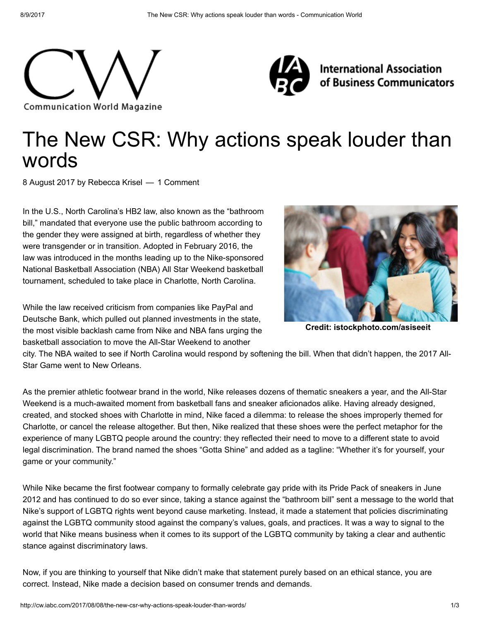



**International Association** of Business Communicators

# The New CSR: Why actions speak louder than words

8 August 2017 by [Rebecca](http://cw.iabc.com/author/rebecca-krisel/) Krisel — 1 Comment

In the U.S., North Carolina's HB2 law, also known as the "bathroom bill," mandated that everyone use the public bathroom according to the gender they were assigned at birth, regardless of whether they were transgender or in transition. Adopted in February 2016, the law was introduced in the months leading up to the Nike-sponsored National Basketball Association (NBA) All Star Weekend basketball tournament, scheduled to take place in Charlotte, North Carolina.

While the law received criticism from companies like PayPal and Deutsche Bank, which pulled out planned investments in the state, the most visible backlash came from Nike and NBA fans urging the basketball association to move the All-Star Weekend to another



Credit: istockphoto.com/asiseeit

city. The NBA waited to see if North Carolina would respond by softening the bill. When that didn't happen, the 2017 All-Star Game went to New Orleans.

As the premier athletic footwear brand in the world, Nike releases dozens of thematic sneakers a year, and the All-Star Weekend is a much-awaited moment from basketball fans and sneaker aficionados alike. Having already designed, created, and stocked shoes with Charlotte in mind, Nike faced a dilemma: to release the shoes improperly themed for Charlotte, or cancel the release altogether. But then, Nike realized that these shoes were the perfect metaphor for the experience of many LGBTQ people around the country: they reflected their need to move to a different state to avoid legal discrimination. The brand named the shoes "Gotta Shine" and added as a tagline: "Whether it's for yourself, your game or your community."

While Nike became the first footwear company to formally celebrate gay pride with its Pride Pack of sneakers in June 2012 and has continued to do so ever since, taking a stance against the "bathroom bill" sent a message to the world that Nike's support of LGBTQ rights went beyond cause marketing. Instead, it made a statement that policies discriminating against the LGBTQ community stood against the company's values, goals, and practices. It was a way to signal to the world that Nike means business when it comes to its support of the LGBTQ community by taking a clear and authentic stance against discriminatory laws.

Now, if you are thinking to yourself that Nike didn't make that statement purely based on an ethical stance, you are correct. Instead, Nike made a decision based on consumer trends and demands.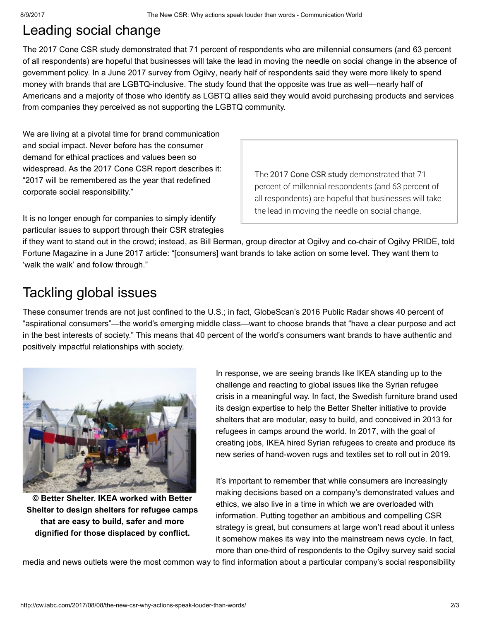### Leading social change

The 2017 [Cone](http://www.conecomm.com/research-blog/2017-csr-study) CSR study demonstrated that 71 percent of respondents who are millennial consumers (and 63 percent of all respondents) are hopeful that businesses will take the lead in moving the needle on social change in the absence of government policy. In a June 2017 [survey](http://fortune.com/2017/06/28/lgbt-inclusive-advertising-survey/) from Ogilvy, nearly half of respondents said they were more likely to spend money with brands that are LGBTQ-inclusive. The study found that the opposite was true as well—nearly half of Americans and a majority of those who identify as LGBTQ allies said they would avoid purchasing products and services from companies they perceived as not supporting the LGBTQ community.

We are living at a pivotal time for brand communication and social impact. Never before has the consumer demand for ethical practices and values been so widespread. As the 2017 Cone CSR report describes it: "2017 will be remembered as the year that redefined corporate social responsibility."

The 2017 Cone CSR [study](http://www.conecomm.com/research-blog/2017-csr-study) demonstrated that 71 percent of millennial respondents (and 63 percent of all respondents) are hopeful that businesses will take the lead in moving the needle on social change.

It is no longer enough for companies to simply identify particular issues to support through their CSR strategies

if they want to stand out in the crowd; instead, as Bill Berman, group director at Ogilvy and co-chair of Ogilvy PRIDE, told Fortune [Magazine](http://fortune.com/2017/06/28/lgbt-inclusive-advertising-survey/) in a June 2017 article: "[consumers] want brands to take action on some level. They want them to 'walk the walk' and follow through."

## Tackling global issues

These consumer trends are not just confined to the U.S.; in fact, [GlobeScan's](http://www.globescan.com/component/edocman/?view=document&id=269&Itemid=591) 2016 Public Radar shows 40 percent of "aspirational consumers"—the world's emerging middle class—want to choose brands that "have a clear purpose and act in the best interests of society." This means that 40 percent of the world's consumers want brands to have authentic and positively impactful relationships with society.



© Better Shelter. IKEA worked with Better Shelter to design shelters for refugee camps that are easy to build, safer and more dignified for those displaced by conflict.

In response, we are seeing brands like IKEA standing up to the challenge and reacting to global issues like the Syrian refugee crisis in a meaningful way. In fact, the Swedish furniture brand used its design expertise to help the Better [Shelter](http://www.bettershelter.org/) initiative to provide shelters that are modular, easy to build, and conceived in 2013 for refugees in camps around the world. In 2017, with the goal of creating jobs, IKEA hired Syrian refugees to create and produce its new series of hand-woven rugs and textiles set to roll out in 2019.

It's important to remember that while consumers are increasingly making decisions based on a company's demonstrated values and ethics, we also live in a time in which we are overloaded with information. Putting together an ambitious and compelling CSR strategy is great, but consumers at large won't read about it unless it somehow makes its way into the mainstream news cycle. In fact, more than one-third of respondents to the Ogilvy survey said social

media and news outlets were the most common way to find information about a particular company's social responsibility